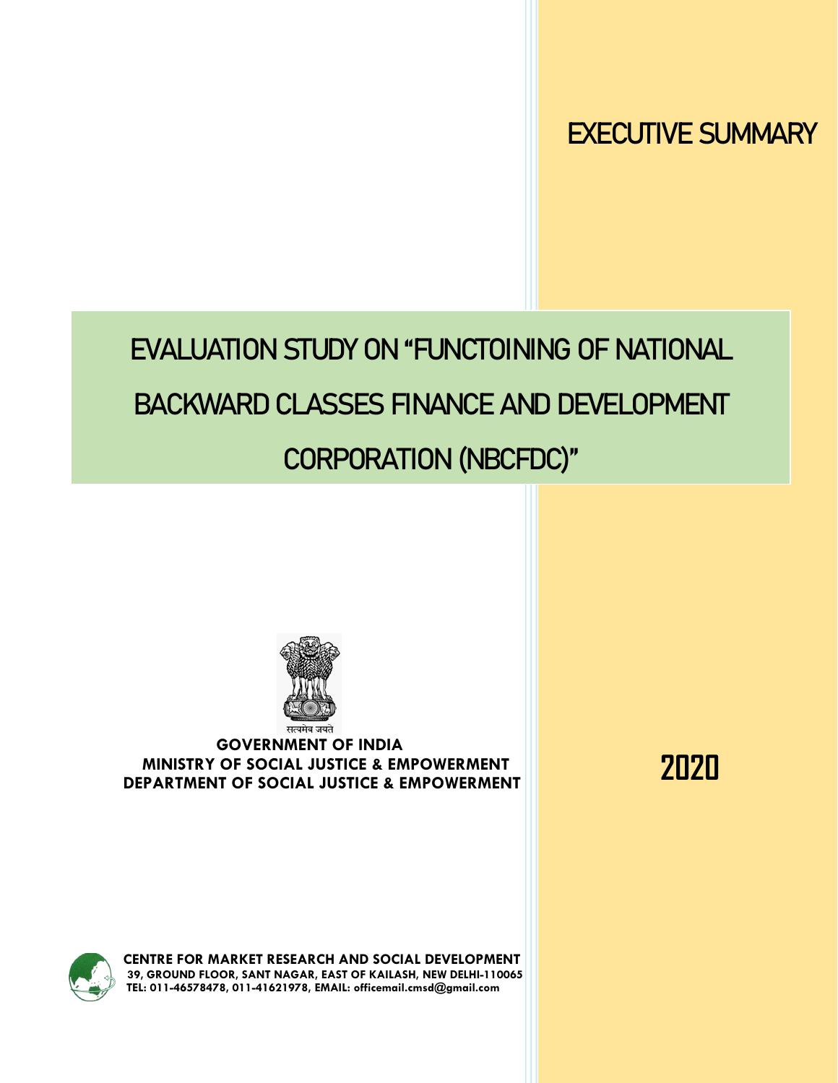EXECUTIVE SUMMARY

# EVALUATION STUDY ON "FUNCTOINING OF NATIONAL

## BACKWARD CLASSES FINANCE AND DEVELOPMENT

## CORPORATION (NBCFDC)"



#### **GOVERNMENT OF INDIA MINISTRY OF SOCIAL JUSTICE & EMPOWERMENT DEPARTMENT OF SOCIAL JUSTICE & EMPOWERMENT**

**2020**



**CENTRE FOR MARKET RESEARCH AND SOCIAL DEVELOPMENT 39, GROUND FLOOR, SANT NAGAR, EAST OF KAILASH, NEW DELHI-110065 TEL: 011-46578478, 011-41621978, EMAIL[: officemail.cmsd@gmail.com](mailto:officemail.cmsd@gmail.com)**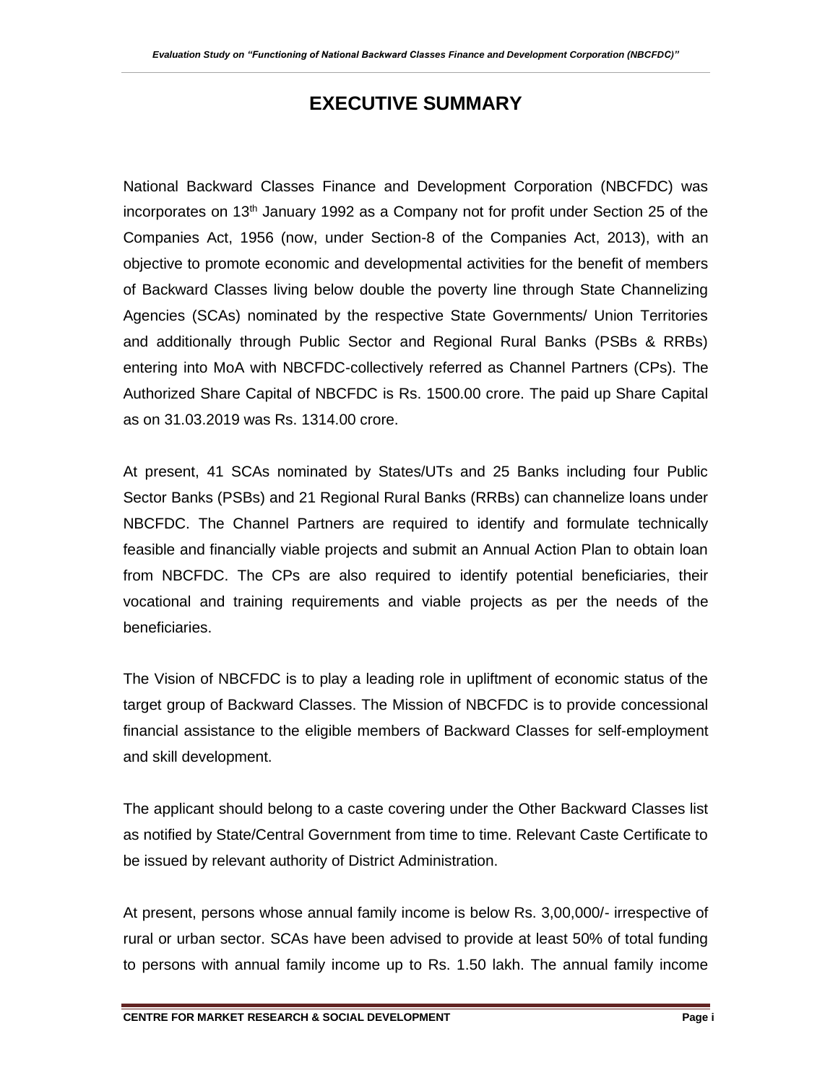## **EXECUTIVE SUMMARY**

National Backward Classes Finance and Development Corporation (NBCFDC) was incorporates on 13th January 1992 as a Company not for profit under Section 25 of the Companies Act, 1956 (now, under Section-8 of the Companies Act, 2013), with an objective to promote economic and developmental activities for the benefit of members of Backward Classes living below double the poverty line through State Channelizing Agencies (SCAs) nominated by the respective State Governments/ Union Territories and additionally through Public Sector and Regional Rural Banks (PSBs & RRBs) entering into MoA with NBCFDC-collectively referred as Channel Partners (CPs). The Authorized Share Capital of NBCFDC is Rs. 1500.00 crore. The paid up Share Capital as on 31.03.2019 was Rs. 1314.00 crore.

At present, 41 SCAs nominated by States/UTs and 25 Banks including four Public Sector Banks (PSBs) and 21 Regional Rural Banks (RRBs) can channelize loans under NBCFDC. The Channel Partners are required to identify and formulate technically feasible and financially viable projects and submit an Annual Action Plan to obtain loan from NBCFDC. The CPs are also required to identify potential beneficiaries, their vocational and training requirements and viable projects as per the needs of the beneficiaries.

The Vision of NBCFDC is to play a leading role in upliftment of economic status of the target group of Backward Classes. The Mission of NBCFDC is to provide concessional financial assistance to the eligible members of Backward Classes for self-employment and skill development.

The applicant should belong to a caste covering under the Other Backward Classes list as notified by State/Central Government from time to time. Relevant Caste Certificate to be issued by relevant authority of District Administration.

At present, persons whose annual family income is below Rs. 3,00,000/- irrespective of rural or urban sector. SCAs have been advised to provide at least 50% of total funding to persons with annual family income up to Rs. 1.50 lakh. The annual family income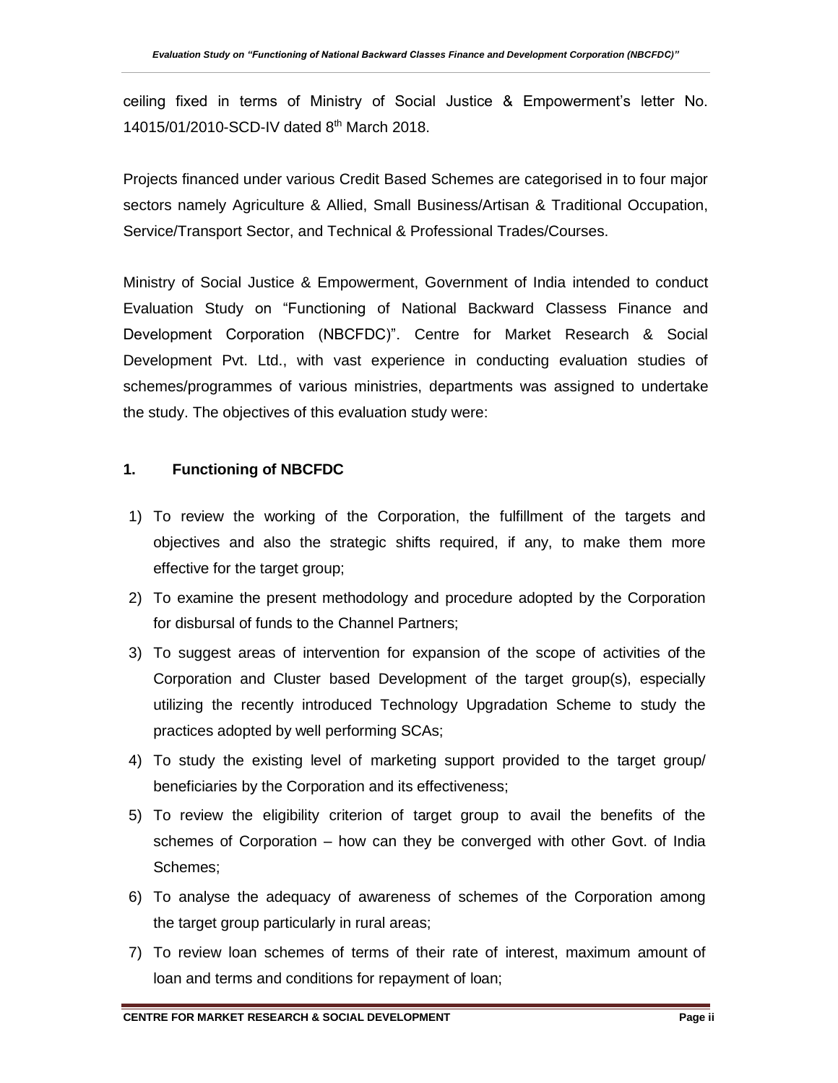ceiling fixed in terms of Ministry of Social Justice & Empowerment's letter No. 14015/01/2010-SCD-IV dated 8<sup>th</sup> March 2018.

Projects financed under various Credit Based Schemes are categorised in to four major sectors namely Agriculture & Allied, Small Business/Artisan & Traditional Occupation, Service/Transport Sector, and Technical & Professional Trades/Courses.

Ministry of Social Justice & Empowerment, Government of India intended to conduct Evaluation Study on "Functioning of National Backward Classess Finance and Development Corporation (NBCFDC)". Centre for Market Research & Social Development Pvt. Ltd., with vast experience in conducting evaluation studies of schemes/programmes of various ministries, departments was assigned to undertake the study. The objectives of this evaluation study were:

#### **1. Functioning of NBCFDC**

- 1) To review the working of the Corporation, the fulfillment of the targets and objectives and also the strategic shifts required, if any, to make them more effective for the target group;
- 2) To examine the present methodology and procedure adopted by the Corporation for disbursal of funds to the Channel Partners;
- 3) To suggest areas of intervention for expansion of the scope of activities of the Corporation and Cluster based Development of the target group(s), especially utilizing the recently introduced Technology Upgradation Scheme to study the practices adopted by well performing SCAs;
- 4) To study the existing level of marketing support provided to the target group/ beneficiaries by the Corporation and its effectiveness;
- 5) To review the eligibility criterion of target group to avail the benefits of the schemes of Corporation – how can they be converged with other Govt. of India Schemes;
- 6) To analyse the adequacy of awareness of schemes of the Corporation among the target group particularly in rural areas;
- 7) To review loan schemes of terms of their rate of interest, maximum amount of loan and terms and conditions for repayment of loan;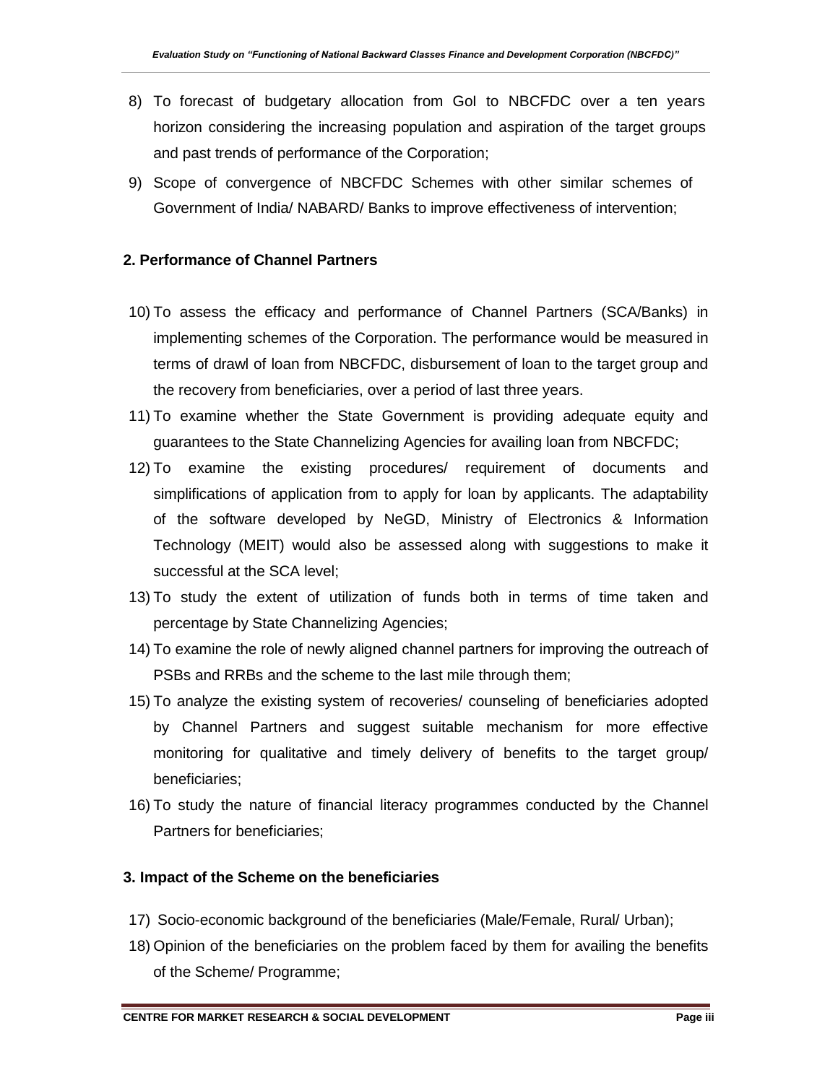- 8) To forecast of budgetary allocation from GoI to NBCFDC over a ten years horizon considering the increasing population and aspiration of the target groups and past trends of performance of the Corporation;
- 9) Scope of convergence of NBCFDC Schemes with other similar schemes of Government of India/ NABARD/ Banks to improve effectiveness of intervention;

#### **2. Performance of Channel Partners**

- 10) To assess the efficacy and performance of Channel Partners (SCA/Banks) in implementing schemes of the Corporation. The performance would be measured in terms of drawl of loan from NBCFDC, disbursement of loan to the target group and the recovery from beneficiaries, over a period of last three years.
- 11) To examine whether the State Government is providing adequate equity and guarantees to the State Channelizing Agencies for availing loan from NBCFDC;
- 12) To examine the existing procedures/ requirement of documents and simplifications of application from to apply for loan by applicants. The adaptability of the software developed by NeGD, Ministry of Electronics & Information Technology (MEIT) would also be assessed along with suggestions to make it successful at the SCA level;
- 13) To study the extent of utilization of funds both in terms of time taken and percentage by State Channelizing Agencies;
- 14) To examine the role of newly aligned channel partners for improving the outreach of PSBs and RRBs and the scheme to the last mile through them;
- 15) To analyze the existing system of recoveries/ counseling of beneficiaries adopted by Channel Partners and suggest suitable mechanism for more effective monitoring for qualitative and timely delivery of benefits to the target group/ beneficiaries;
- 16) To study the nature of financial literacy programmes conducted by the Channel Partners for beneficiaries;

#### **3. Impact of the Scheme on the beneficiaries**

- 17) Socio-economic background of the beneficiaries (Male/Female, Rural/ Urban);
- 18) Opinion of the beneficiaries on the problem faced by them for availing the benefits of the Scheme/ Programme;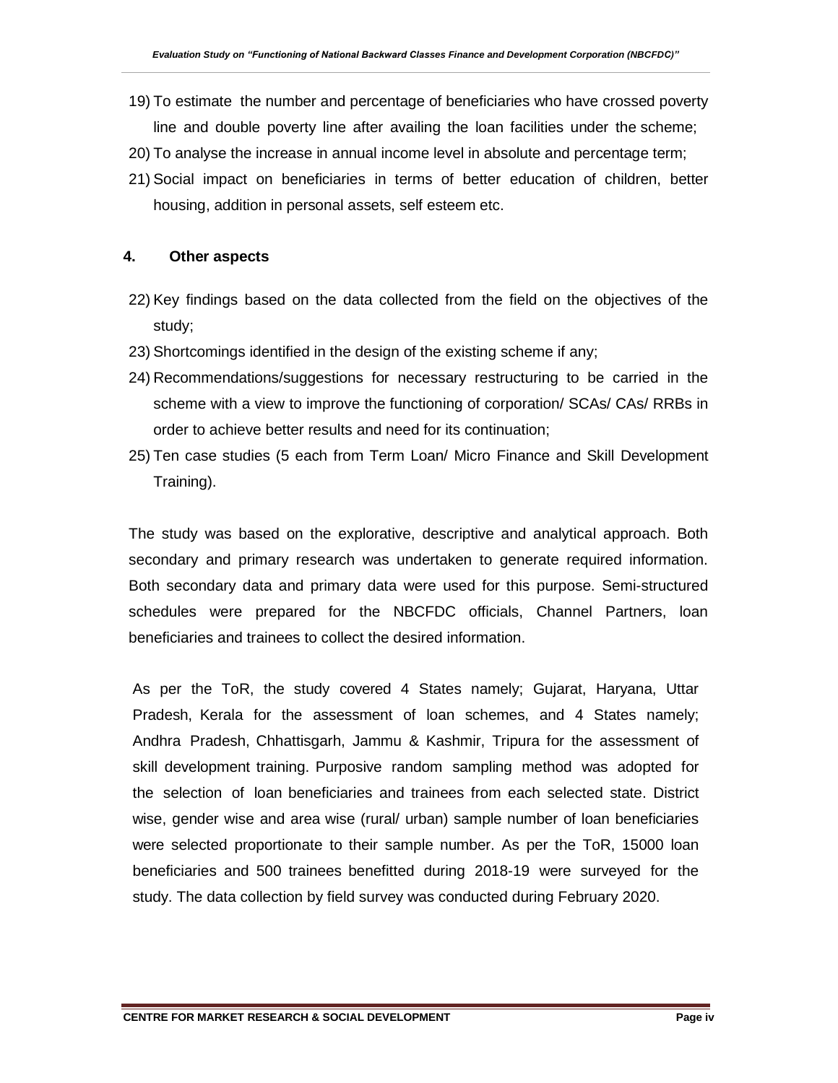- 19) To estimate the number and percentage of beneficiaries who have crossed poverty line and double poverty line after availing the loan facilities under the scheme;
- 20) To analyse the increase in annual income level in absolute and percentage term;
- 21) Social impact on beneficiaries in terms of better education of children, better housing, addition in personal assets, self esteem etc.

#### **4. Other aspects**

- 22) Key findings based on the data collected from the field on the objectives of the study;
- 23) Shortcomings identified in the design of the existing scheme if any;
- 24) Recommendations/suggestions for necessary restructuring to be carried in the scheme with a view to improve the functioning of corporation/ SCAs/ CAs/ RRBs in order to achieve better results and need for its continuation;
- 25) Ten case studies (5 each from Term Loan/ Micro Finance and Skill Development Training).

The study was based on the explorative, descriptive and analytical approach. Both secondary and primary research was undertaken to generate required information. Both secondary data and primary data were used for this purpose. Semi-structured schedules were prepared for the NBCFDC officials, Channel Partners, loan beneficiaries and trainees to collect the desired information.

As per the ToR, the study covered 4 States namely; Gujarat, Haryana, Uttar Pradesh, Kerala for the assessment of loan schemes, and 4 States namely; Andhra Pradesh, Chhattisgarh, Jammu & Kashmir, Tripura for the assessment of skill development training. Purposive random sampling method was adopted for the selection of loan beneficiaries and trainees from each selected state. District wise, gender wise and area wise (rural/ urban) sample number of loan beneficiaries were selected proportionate to their sample number. As per the ToR, 15000 loan beneficiaries and 500 trainees benefitted during 2018-19 were surveyed for the study. The data collection by field survey was conducted during February 2020.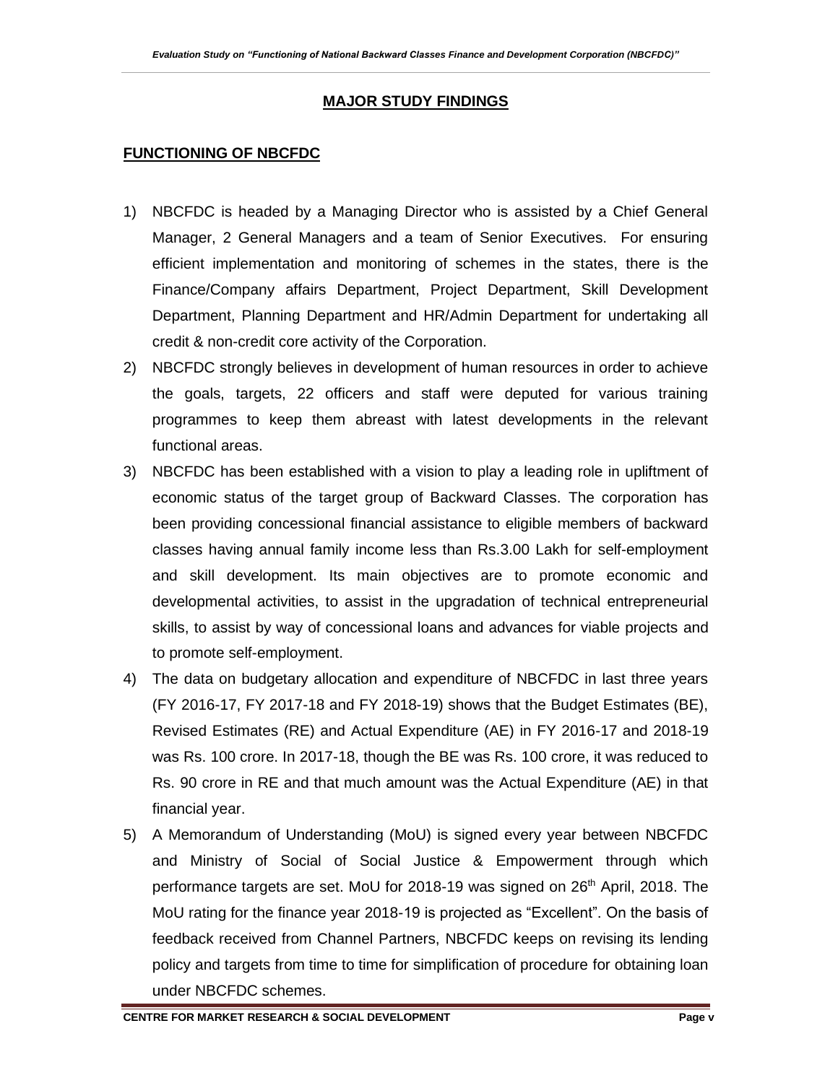#### **MAJOR STUDY FINDINGS**

#### **FUNCTIONING OF NBCFDC**

- 1) NBCFDC is headed by a Managing Director who is assisted by a Chief General Manager, 2 General Managers and a team of Senior Executives. For ensuring efficient implementation and monitoring of schemes in the states, there is the Finance/Company affairs Department, Project Department, Skill Development Department, Planning Department and HR/Admin Department for undertaking all credit & non-credit core activity of the Corporation.
- 2) NBCFDC strongly believes in development of human resources in order to achieve the goals, targets, 22 officers and staff were deputed for various training programmes to keep them abreast with latest developments in the relevant functional areas.
- 3) NBCFDC has been established with a vision to play a leading role in upliftment of economic status of the target group of Backward Classes. The corporation has been providing concessional financial assistance to eligible members of backward classes having annual family income less than Rs.3.00 Lakh for self-employment and skill development. Its main objectives are to promote economic and developmental activities, to assist in the upgradation of technical entrepreneurial skills, to assist by way of concessional loans and advances for viable projects and to promote self-employment.
- 4) The data on budgetary allocation and expenditure of NBCFDC in last three years (FY 2016-17, FY 2017-18 and FY 2018-19) shows that the Budget Estimates (BE), Revised Estimates (RE) and Actual Expenditure (AE) in FY 2016-17 and 2018-19 was Rs. 100 crore. In 2017-18, though the BE was Rs. 100 crore, it was reduced to Rs. 90 crore in RE and that much amount was the Actual Expenditure (AE) in that financial year.
- 5) A Memorandum of Understanding (MoU) is signed every year between NBCFDC and Ministry of Social of Social Justice & Empowerment through which performance targets are set. MoU for 2018-19 was signed on 26th April, 2018. The MoU rating for the finance year 2018-19 is projected as "Excellent". On the basis of feedback received from Channel Partners, NBCFDC keeps on revising its lending policy and targets from time to time for simplification of procedure for obtaining loan under NBCFDC schemes.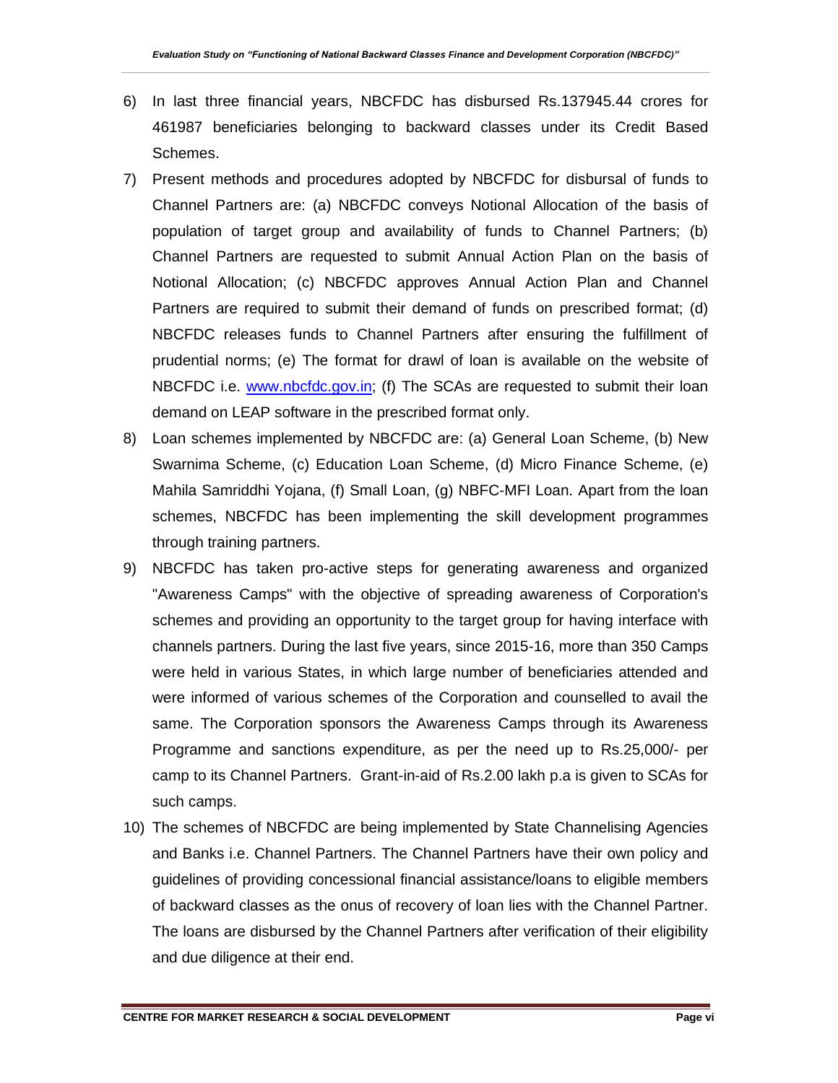- 6) In last three financial years, NBCFDC has disbursed Rs.137945.44 crores for 461987 beneficiaries belonging to backward classes under its Credit Based Schemes.
- 7) Present methods and procedures adopted by NBCFDC for disbursal of funds to Channel Partners are: (a) NBCFDC conveys Notional Allocation of the basis of population of target group and availability of funds to Channel Partners; (b) Channel Partners are requested to submit Annual Action Plan on the basis of Notional Allocation; (c) NBCFDC approves Annual Action Plan and Channel Partners are required to submit their demand of funds on prescribed format; (d) NBCFDC releases funds to Channel Partners after ensuring the fulfillment of prudential norms; (e) The format for drawl of loan is available on the website of NBCFDC i.e. [www.nbcfdc.gov.in;](http://www.nbcfdc.gov.in/) (f) The SCAs are requested to submit their loan demand on LEAP software in the prescribed format only.
- 8) Loan schemes implemented by NBCFDC are: (a) General Loan Scheme, (b) New Swarnima Scheme, (c) Education Loan Scheme, (d) Micro Finance Scheme, (e) Mahila Samriddhi Yojana, (f) Small Loan, (g) NBFC-MFI Loan. Apart from the loan schemes, NBCFDC has been implementing the skill development programmes through training partners.
- 9) NBCFDC has taken pro-active steps for generating awareness and organized "Awareness Camps" with the objective of spreading awareness of Corporation's schemes and providing an opportunity to the target group for having interface with channels partners. During the last five years, since 2015-16, more than 350 Camps were held in various States, in which large number of beneficiaries attended and were informed of various schemes of the Corporation and counselled to avail the same. The Corporation sponsors the Awareness Camps through its Awareness Programme and sanctions expenditure, as per the need up to Rs.25,000/- per camp to its Channel Partners. Grant-in-aid of Rs.2.00 lakh p.a is given to SCAs for such camps.
- 10) The schemes of NBCFDC are being implemented by State Channelising Agencies and Banks i.e. Channel Partners. The Channel Partners have their own policy and guidelines of providing concessional financial assistance/loans to eligible members of backward classes as the onus of recovery of loan lies with the Channel Partner. The loans are disbursed by the Channel Partners after verification of their eligibility and due diligence at their end.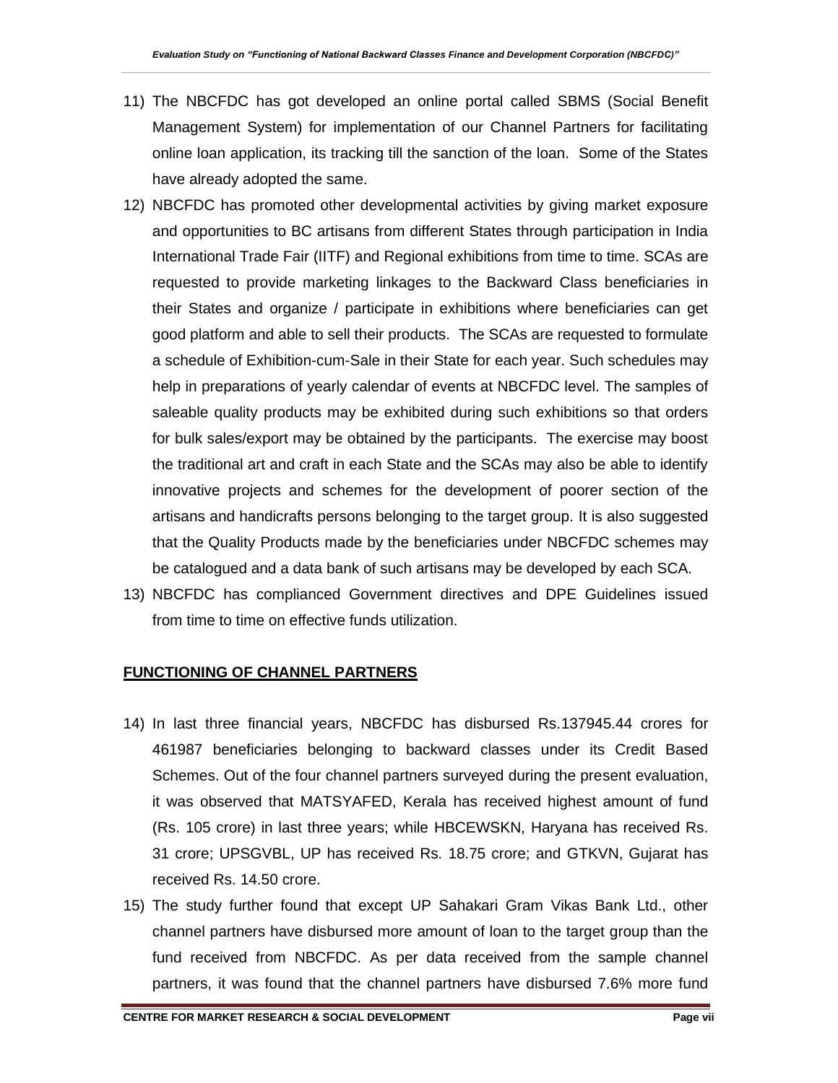- 11) The NBCFDC has got developed an online portal called SBMS (Social Benefit Management System) for implementation of our Channel Partners for facilitating online loan application, its tracking till the sanction of the loan. Some of the States have already adopted the same.
- 12) NBCFDC has promoted other developmental activities by giving market exposure and opportunities to BC artisans from different States through participation in India International Trade Fair (IITF) and Regional exhibitions from time to time. SCAs are requested to provide marketing linkages to the Backward Class beneficiaries in their States and organize / participate in exhibitions where beneficiaries can get good platform and able to sell their products. The SCAs are requested to formulate a schedule of Exhibition-cum-Sale in their State for each year. Such schedules may help in preparations of yearly calendar of events at NBCFDC level. The samples of saleable quality products may be exhibited during such exhibitions so that orders for bulk sales/export may be obtained by the participants. The exercise may boost the traditional art and craft in each State and the SCAs may also be able to identify innovative projects and schemes for the development of poorer section of the artisans and handicrafts persons belonging to the target group. It is also suggested that the Quality Products made by the beneficiaries under NBCFDC schemes may be catalogued and a data bank of such artisans may be developed by each SCA.
- 13) NBCFDC has complianced Government directives and DPE Guidelines issued from time to time on effective funds utilization.

#### **FUNCTIONING OF CHANNEL PARTNERS**

- 14) In last three financial years, NBCFDC has disbursed Rs.137945.44 crores for 461987 beneficiaries belonging to backward classes under its Credit Based Schemes. Out of the four channel partners surveyed during the present evaluation, it was observed that MATSYAFED, Kerala has received highest amount of fund (Rs. 105 crore) in last three years; while HBCEWSKN, Haryana has received Rs. 31 crore; UPSGVBL, UP has received Rs. 18.75 crore; and GTKVN, Gujarat has received Rs. 14.50 crore.
- 15) The study further found that except UP Sahakari Gram Vikas Bank Ltd., other channel partners have disbursed more amount of loan to the target group than the fund received from NBCFDC. As per data received from the sample channel partners, it was found that the channel partners have disbursed 7.6% more fund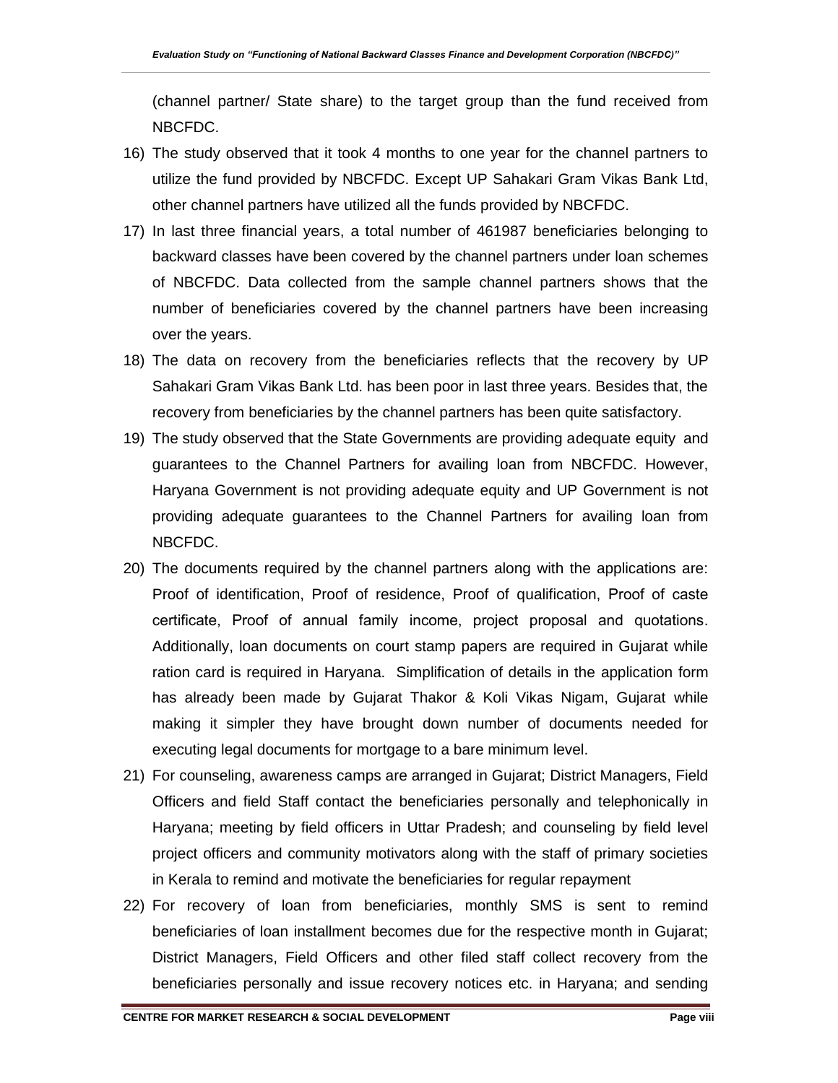(channel partner/ State share) to the target group than the fund received from NBCFDC.

- 16) The study observed that it took 4 months to one year for the channel partners to utilize the fund provided by NBCFDC. Except UP Sahakari Gram Vikas Bank Ltd, other channel partners have utilized all the funds provided by NBCFDC.
- 17) In last three financial years, a total number of 461987 beneficiaries belonging to backward classes have been covered by the channel partners under loan schemes of NBCFDC. Data collected from the sample channel partners shows that the number of beneficiaries covered by the channel partners have been increasing over the years.
- 18) The data on recovery from the beneficiaries reflects that the recovery by UP Sahakari Gram Vikas Bank Ltd. has been poor in last three years. Besides that, the recovery from beneficiaries by the channel partners has been quite satisfactory.
- 19) The study observed that the State Governments are providing adequate equity and guarantees to the Channel Partners for availing loan from NBCFDC. However, Haryana Government is not providing adequate equity and UP Government is not providing adequate guarantees to the Channel Partners for availing loan from NBCFDC.
- 20) The documents required by the channel partners along with the applications are: Proof of identification, Proof of residence, Proof of qualification, Proof of caste certificate, Proof of annual family income, project proposal and quotations. Additionally, loan documents on court stamp papers are required in Gujarat while ration card is required in Haryana. Simplification of details in the application form has already been made by Gujarat Thakor & Koli Vikas Nigam, Gujarat while making it simpler they have brought down number of documents needed for executing legal documents for mortgage to a bare minimum level.
- 21) For counseling, awareness camps are arranged in Gujarat; District Managers, Field Officers and field Staff contact the beneficiaries personally and telephonically in Haryana; meeting by field officers in Uttar Pradesh; and counseling by field level project officers and community motivators along with the staff of primary societies in Kerala to remind and motivate the beneficiaries for regular repayment
- 22) For recovery of loan from beneficiaries, monthly SMS is sent to remind beneficiaries of loan installment becomes due for the respective month in Gujarat; District Managers, Field Officers and other filed staff collect recovery from the beneficiaries personally and issue recovery notices etc. in Haryana; and sending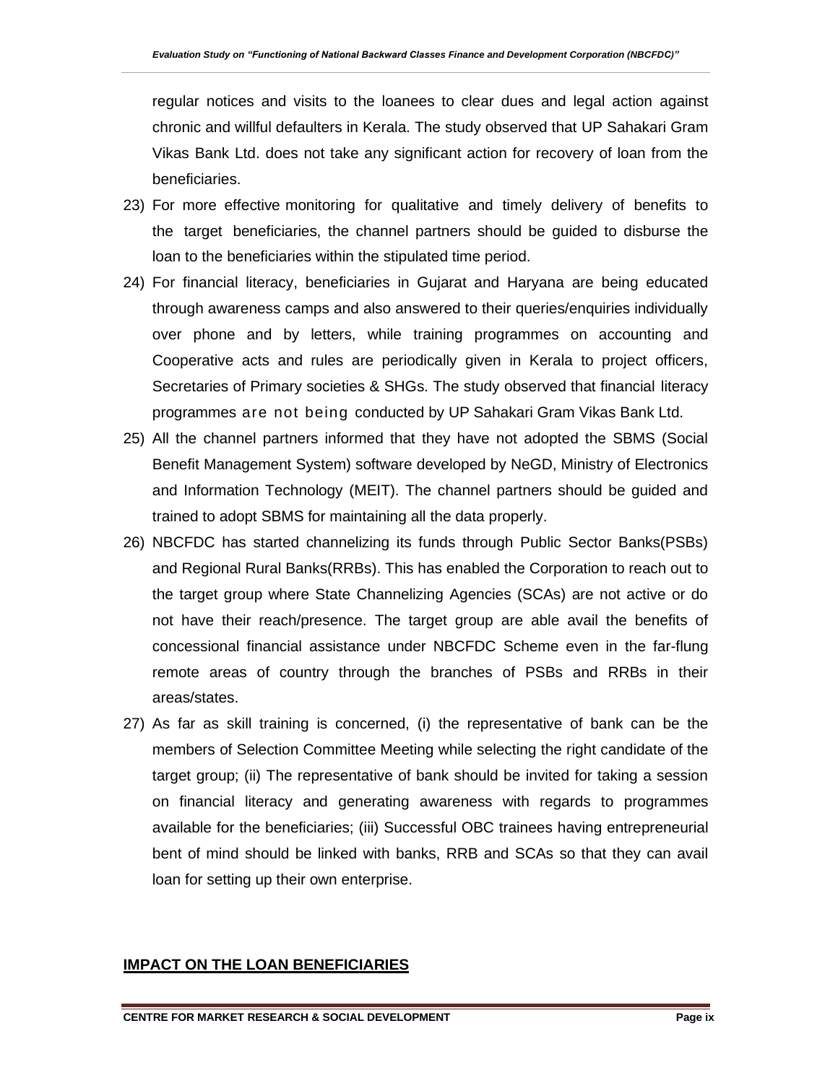regular notices and visits to the loanees to clear dues and legal action against chronic and willful defaulters in Kerala. The study observed that UP Sahakari Gram Vikas Bank Ltd. does not take any significant action for recovery of loan from the beneficiaries.

- 23) For more effective monitoring for qualitative and timely delivery of benefits to the target beneficiaries, the channel partners should be guided to disburse the loan to the beneficiaries within the stipulated time period.
- 24) For financial literacy, beneficiaries in Gujarat and Haryana are being educated through awareness camps and also answered to their queries/enquiries individually over phone and by letters, while training programmes on accounting and Cooperative acts and rules are periodically given in Kerala to project officers, Secretaries of Primary societies & SHGs. The study observed that financial literacy programmes are not being conducted by UP Sahakari Gram Vikas Bank Ltd.
- 25) All the channel partners informed that they have not adopted the SBMS (Social Benefit Management System) software developed by NeGD, Ministry of Electronics and Information Technology (MEIT). The channel partners should be guided and trained to adopt SBMS for maintaining all the data properly.
- 26) NBCFDC has started channelizing its funds through Public Sector Banks(PSBs) and Regional Rural Banks(RRBs). This has enabled the Corporation to reach out to the target group where State Channelizing Agencies (SCAs) are not active or do not have their reach/presence. The target group are able avail the benefits of concessional financial assistance under NBCFDC Scheme even in the far-flung remote areas of country through the branches of PSBs and RRBs in their areas/states.
- 27) As far as skill training is concerned, (i) the representative of bank can be the members of Selection Committee Meeting while selecting the right candidate of the target group; (ii) The representative of bank should be invited for taking a session on financial literacy and generating awareness with regards to programmes available for the beneficiaries; (iii) Successful OBC trainees having entrepreneurial bent of mind should be linked with banks, RRB and SCAs so that they can avail loan for setting up their own enterprise.

#### **IMPACT ON THE LOAN BENEFICIARIES**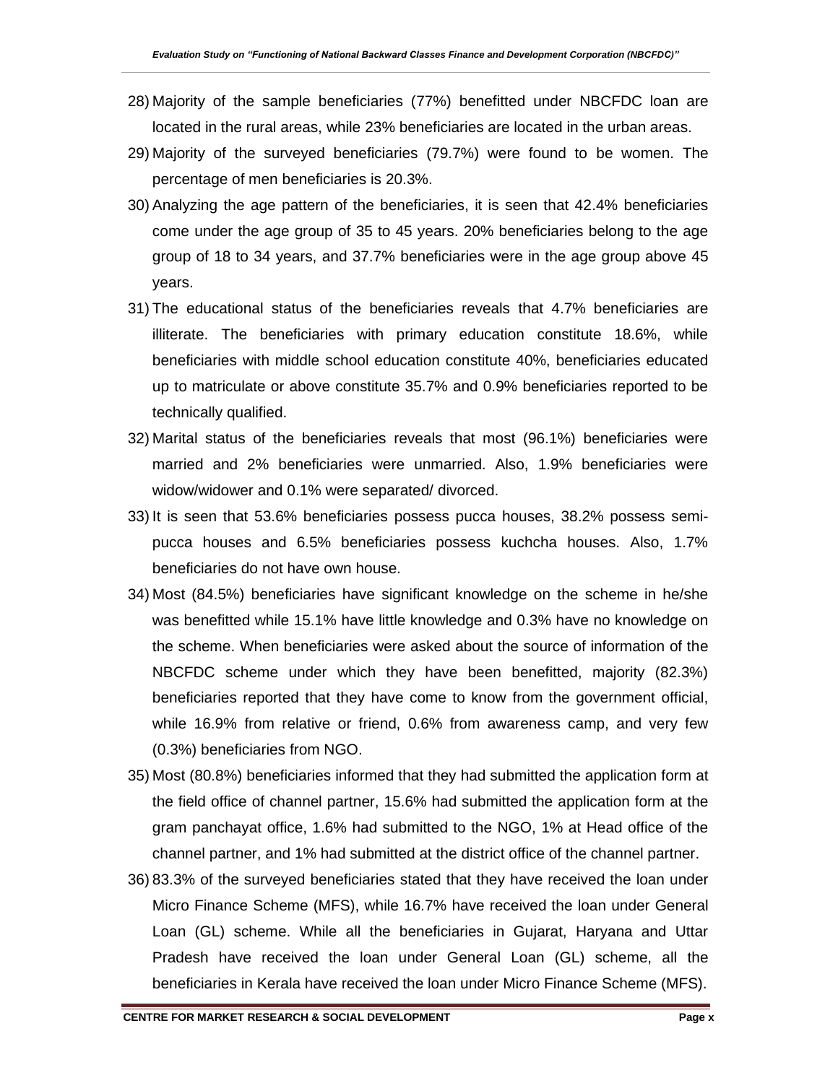- 28) Majority of the sample beneficiaries (77%) benefitted under NBCFDC loan are located in the rural areas, while 23% beneficiaries are located in the urban areas.
- 29) Majority of the surveyed beneficiaries (79.7%) were found to be women. The percentage of men beneficiaries is 20.3%.
- 30) Analyzing the age pattern of the beneficiaries, it is seen that 42.4% beneficiaries come under the age group of 35 to 45 years. 20% beneficiaries belong to the age group of 18 to 34 years, and 37.7% beneficiaries were in the age group above 45 years.
- 31) The educational status of the beneficiaries reveals that 4.7% beneficiaries are illiterate. The beneficiaries with primary education constitute 18.6%, while beneficiaries with middle school education constitute 40%, beneficiaries educated up to matriculate or above constitute 35.7% and 0.9% beneficiaries reported to be technically qualified.
- 32) Marital status of the beneficiaries reveals that most (96.1%) beneficiaries were married and 2% beneficiaries were unmarried. Also, 1.9% beneficiaries were widow/widower and 0.1% were separated/ divorced.
- 33) It is seen that 53.6% beneficiaries possess pucca houses, 38.2% possess semipucca houses and 6.5% beneficiaries possess kuchcha houses. Also, 1.7% beneficiaries do not have own house.
- 34) Most (84.5%) beneficiaries have significant knowledge on the scheme in he/she was benefitted while 15.1% have little knowledge and 0.3% have no knowledge on the scheme. When beneficiaries were asked about the source of information of the NBCFDC scheme under which they have been benefitted, majority (82.3%) beneficiaries reported that they have come to know from the government official, while 16.9% from relative or friend, 0.6% from awareness camp, and very few (0.3%) beneficiaries from NGO.
- 35) Most (80.8%) beneficiaries informed that they had submitted the application form at the field office of channel partner, 15.6% had submitted the application form at the gram panchayat office, 1.6% had submitted to the NGO, 1% at Head office of the channel partner, and 1% had submitted at the district office of the channel partner.
- 36) 83.3% of the surveyed beneficiaries stated that they have received the loan under Micro Finance Scheme (MFS), while 16.7% have received the loan under General Loan (GL) scheme. While all the beneficiaries in Gujarat, Haryana and Uttar Pradesh have received the loan under General Loan (GL) scheme, all the beneficiaries in Kerala have received the loan under Micro Finance Scheme (MFS).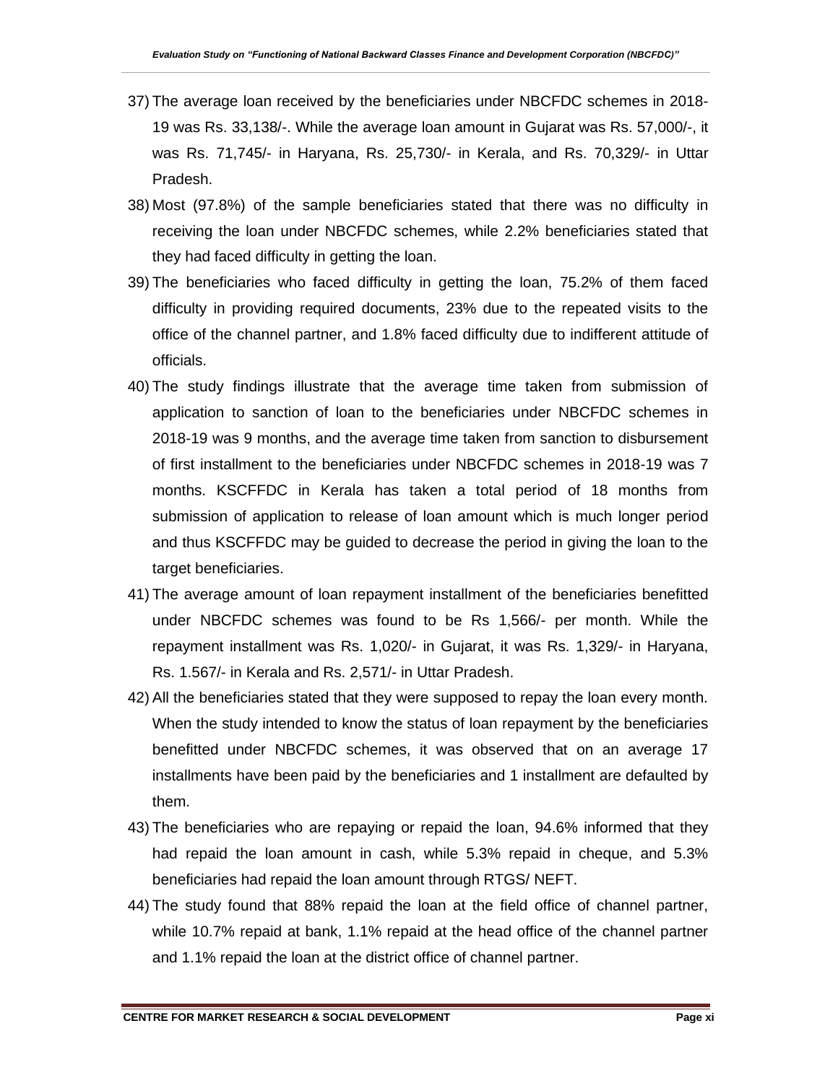- 37) The average loan received by the beneficiaries under NBCFDC schemes in 2018- 19 was Rs. 33,138/-. While the average loan amount in Gujarat was Rs. 57,000/-, it was Rs. 71,745/- in Haryana, Rs. 25,730/- in Kerala, and Rs. 70,329/- in Uttar Pradesh.
- 38) Most (97.8%) of the sample beneficiaries stated that there was no difficulty in receiving the loan under NBCFDC schemes, while 2.2% beneficiaries stated that they had faced difficulty in getting the loan.
- 39) The beneficiaries who faced difficulty in getting the loan, 75.2% of them faced difficulty in providing required documents, 23% due to the repeated visits to the office of the channel partner, and 1.8% faced difficulty due to indifferent attitude of officials.
- 40) The study findings illustrate that the average time taken from submission of application to sanction of loan to the beneficiaries under NBCFDC schemes in 2018-19 was 9 months, and the average time taken from sanction to disbursement of first installment to the beneficiaries under NBCFDC schemes in 2018-19 was 7 months. KSCFFDC in Kerala has taken a total period of 18 months from submission of application to release of loan amount which is much longer period and thus KSCFFDC may be guided to decrease the period in giving the loan to the target beneficiaries.
- 41) The average amount of loan repayment installment of the beneficiaries benefitted under NBCFDC schemes was found to be Rs 1,566/- per month. While the repayment installment was Rs. 1,020/- in Gujarat, it was Rs. 1,329/- in Haryana, Rs. 1.567/- in Kerala and Rs. 2,571/- in Uttar Pradesh.
- 42) All the beneficiaries stated that they were supposed to repay the loan every month. When the study intended to know the status of loan repayment by the beneficiaries benefitted under NBCFDC schemes, it was observed that on an average 17 installments have been paid by the beneficiaries and 1 installment are defaulted by them.
- 43) The beneficiaries who are repaying or repaid the loan, 94.6% informed that they had repaid the loan amount in cash, while 5.3% repaid in cheque, and 5.3% beneficiaries had repaid the loan amount through RTGS/ NEFT.
- 44) The study found that 88% repaid the loan at the field office of channel partner, while 10.7% repaid at bank, 1.1% repaid at the head office of the channel partner and 1.1% repaid the loan at the district office of channel partner.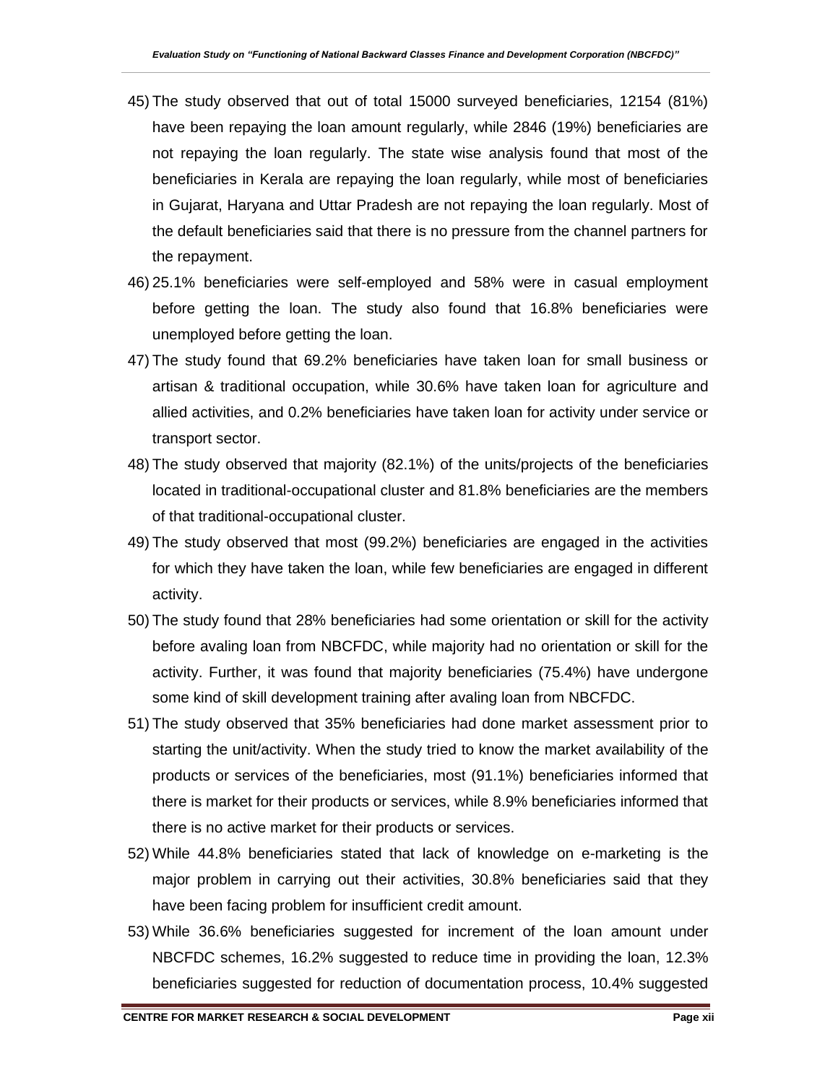- 45) The study observed that out of total 15000 surveyed beneficiaries, 12154 (81%) have been repaying the loan amount regularly, while 2846 (19%) beneficiaries are not repaying the loan regularly. The state wise analysis found that most of the beneficiaries in Kerala are repaying the loan regularly, while most of beneficiaries in Gujarat, Haryana and Uttar Pradesh are not repaying the loan regularly. Most of the default beneficiaries said that there is no pressure from the channel partners for the repayment.
- 46) 25.1% beneficiaries were self-employed and 58% were in casual employment before getting the loan. The study also found that 16.8% beneficiaries were unemployed before getting the loan.
- 47) The study found that 69.2% beneficiaries have taken loan for small business or artisan & traditional occupation, while 30.6% have taken loan for agriculture and allied activities, and 0.2% beneficiaries have taken loan for activity under service or transport sector.
- 48) The study observed that majority (82.1%) of the units/projects of the beneficiaries located in traditional-occupational cluster and 81.8% beneficiaries are the members of that traditional-occupational cluster.
- 49) The study observed that most (99.2%) beneficiaries are engaged in the activities for which they have taken the loan, while few beneficiaries are engaged in different activity.
- 50) The study found that 28% beneficiaries had some orientation or skill for the activity before avaling loan from NBCFDC, while majority had no orientation or skill for the activity. Further, it was found that majority beneficiaries (75.4%) have undergone some kind of skill development training after avaling loan from NBCFDC.
- 51) The study observed that 35% beneficiaries had done market assessment prior to starting the unit/activity. When the study tried to know the market availability of the products or services of the beneficiaries, most (91.1%) beneficiaries informed that there is market for their products or services, while 8.9% beneficiaries informed that there is no active market for their products or services.
- 52) While 44.8% beneficiaries stated that lack of knowledge on e-marketing is the major problem in carrying out their activities, 30.8% beneficiaries said that they have been facing problem for insufficient credit amount.
- 53) While 36.6% beneficiaries suggested for increment of the loan amount under NBCFDC schemes, 16.2% suggested to reduce time in providing the loan, 12.3% beneficiaries suggested for reduction of documentation process, 10.4% suggested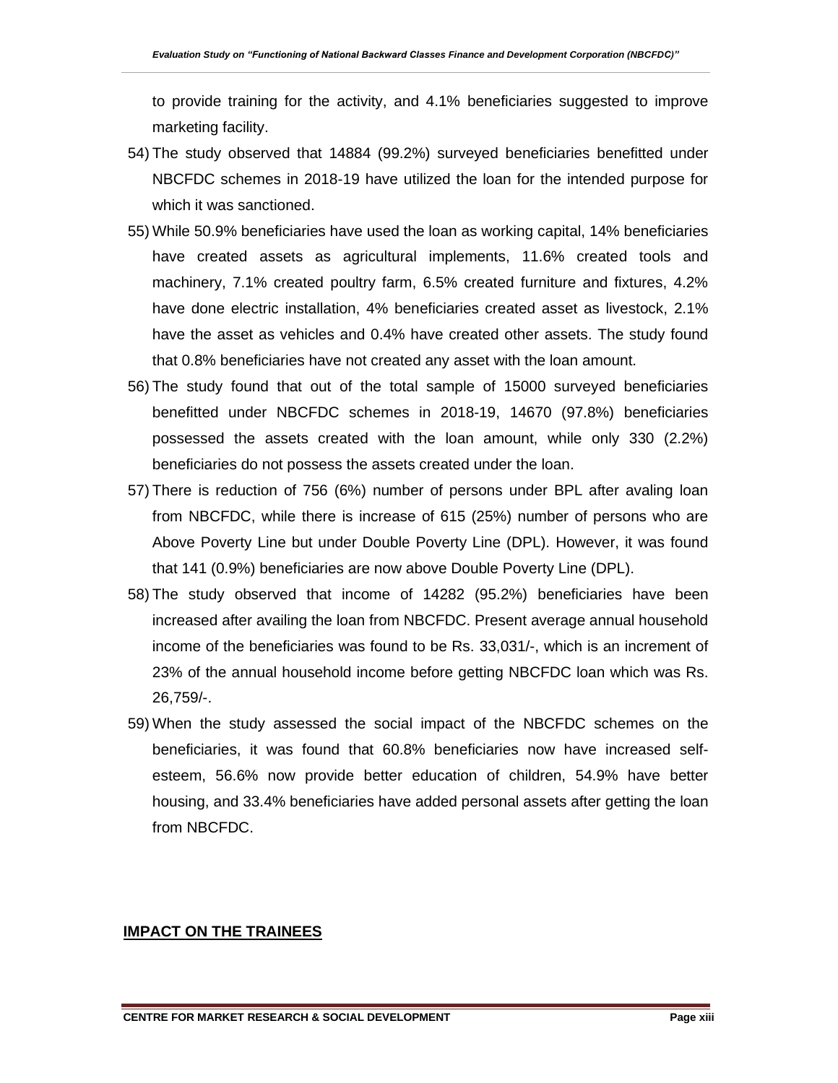to provide training for the activity, and 4.1% beneficiaries suggested to improve marketing facility.

- 54) The study observed that 14884 (99.2%) surveyed beneficiaries benefitted under NBCFDC schemes in 2018-19 have utilized the loan for the intended purpose for which it was sanctioned.
- 55) While 50.9% beneficiaries have used the loan as working capital, 14% beneficiaries have created assets as agricultural implements, 11.6% created tools and machinery, 7.1% created poultry farm, 6.5% created furniture and fixtures, 4.2% have done electric installation, 4% beneficiaries created asset as livestock, 2.1% have the asset as vehicles and 0.4% have created other assets. The study found that 0.8% beneficiaries have not created any asset with the loan amount.
- 56) The study found that out of the total sample of 15000 surveyed beneficiaries benefitted under NBCFDC schemes in 2018-19, 14670 (97.8%) beneficiaries possessed the assets created with the loan amount, while only 330 (2.2%) beneficiaries do not possess the assets created under the loan.
- 57) There is reduction of 756 (6%) number of persons under BPL after avaling loan from NBCFDC, while there is increase of 615 (25%) number of persons who are Above Poverty Line but under Double Poverty Line (DPL). However, it was found that 141 (0.9%) beneficiaries are now above Double Poverty Line (DPL).
- 58) The study observed that income of 14282 (95.2%) beneficiaries have been increased after availing the loan from NBCFDC. Present average annual household income of the beneficiaries was found to be Rs. 33,031/-, which is an increment of 23% of the annual household income before getting NBCFDC loan which was Rs. 26,759/-.
- 59) When the study assessed the social impact of the NBCFDC schemes on the beneficiaries, it was found that 60.8% beneficiaries now have increased selfesteem, 56.6% now provide better education of children, 54.9% have better housing, and 33.4% beneficiaries have added personal assets after getting the loan from NBCFDC.

#### **IMPACT ON THE TRAINEES**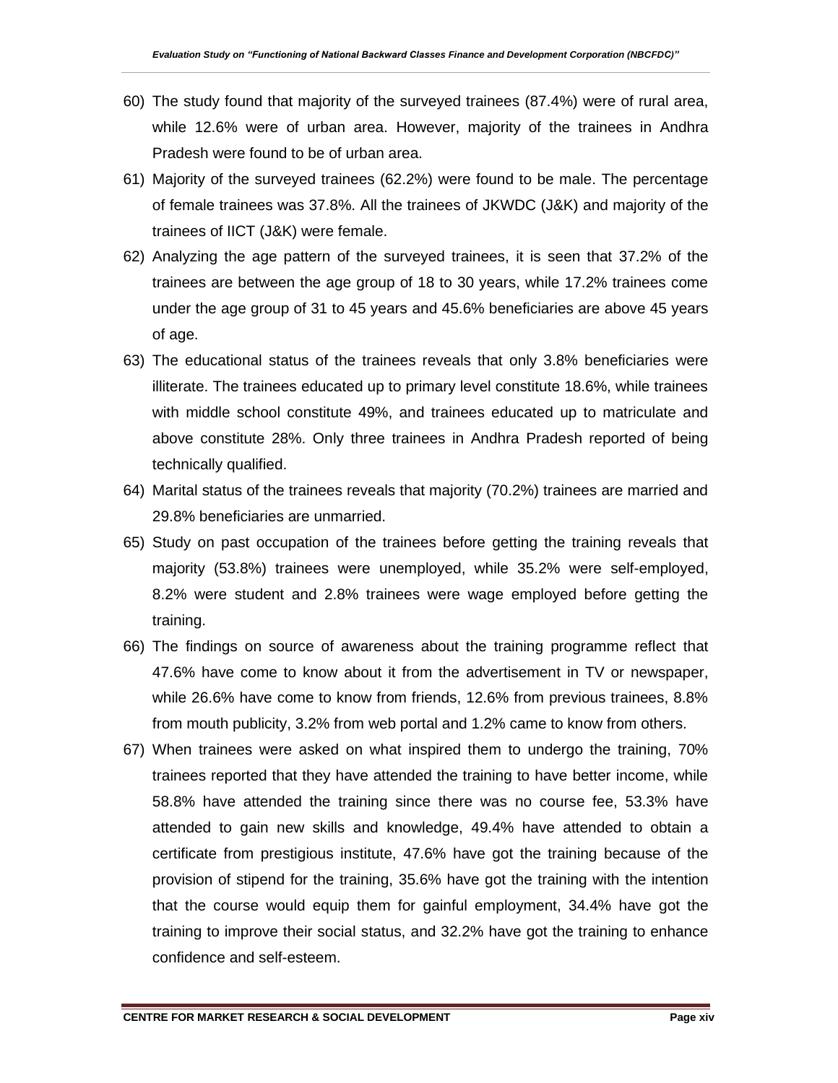- 60) The study found that majority of the surveyed trainees (87.4%) were of rural area, while 12.6% were of urban area. However, majority of the trainees in Andhra Pradesh were found to be of urban area.
- 61) Majority of the surveyed trainees (62.2%) were found to be male. The percentage of female trainees was 37.8%. All the trainees of JKWDC (J&K) and majority of the trainees of IICT (J&K) were female.
- 62) Analyzing the age pattern of the surveyed trainees, it is seen that 37.2% of the trainees are between the age group of 18 to 30 years, while 17.2% trainees come under the age group of 31 to 45 years and 45.6% beneficiaries are above 45 years of age.
- 63) The educational status of the trainees reveals that only 3.8% beneficiaries were illiterate. The trainees educated up to primary level constitute 18.6%, while trainees with middle school constitute 49%, and trainees educated up to matriculate and above constitute 28%. Only three trainees in Andhra Pradesh reported of being technically qualified.
- 64) Marital status of the trainees reveals that majority (70.2%) trainees are married and 29.8% beneficiaries are unmarried.
- 65) Study on past occupation of the trainees before getting the training reveals that majority (53.8%) trainees were unemployed, while 35.2% were self-employed, 8.2% were student and 2.8% trainees were wage employed before getting the training.
- 66) The findings on source of awareness about the training programme reflect that 47.6% have come to know about it from the advertisement in TV or newspaper, while 26.6% have come to know from friends, 12.6% from previous trainees, 8.8% from mouth publicity, 3.2% from web portal and 1.2% came to know from others.
- 67) When trainees were asked on what inspired them to undergo the training, 70% trainees reported that they have attended the training to have better income, while 58.8% have attended the training since there was no course fee, 53.3% have attended to gain new skills and knowledge, 49.4% have attended to obtain a certificate from prestigious institute, 47.6% have got the training because of the provision of stipend for the training, 35.6% have got the training with the intention that the course would equip them for gainful employment, 34.4% have got the training to improve their social status, and 32.2% have got the training to enhance confidence and self-esteem.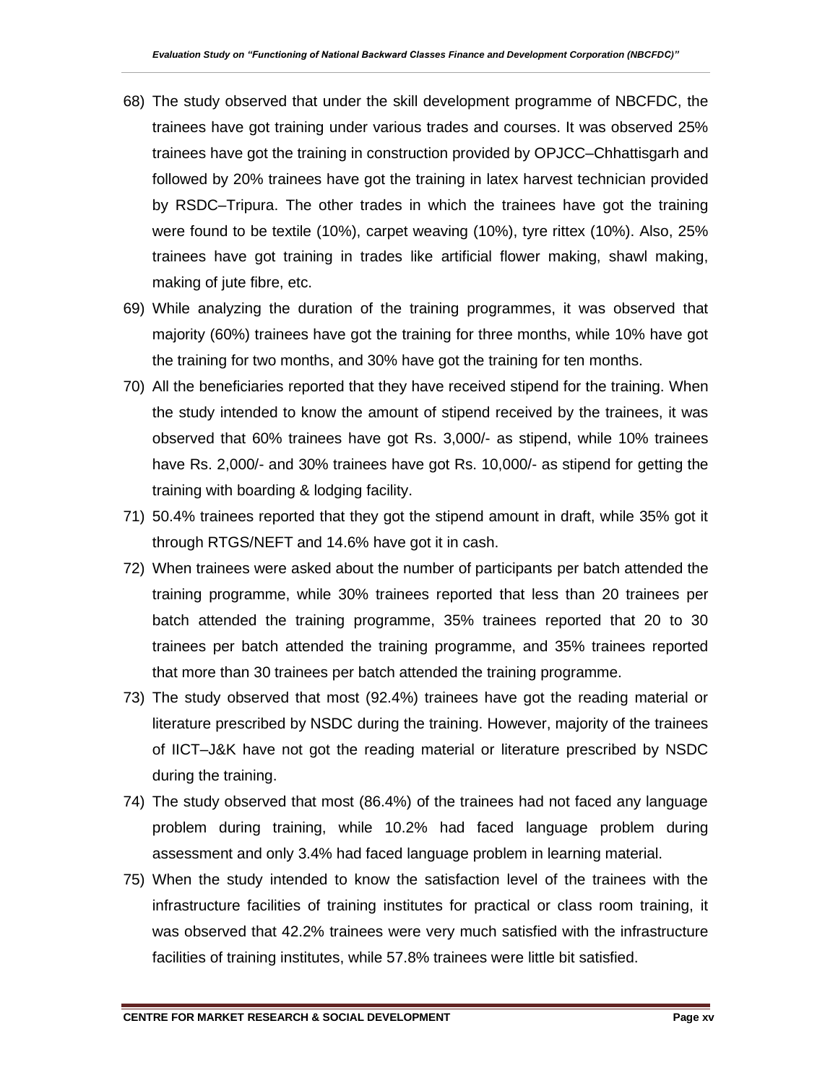- 68) The study observed that under the skill development programme of NBCFDC, the trainees have got training under various trades and courses. It was observed 25% trainees have got the training in construction provided by OPJCC–Chhattisgarh and followed by 20% trainees have got the training in latex harvest technician provided by RSDC–Tripura. The other trades in which the trainees have got the training were found to be textile (10%), carpet weaving (10%), tyre rittex (10%). Also, 25% trainees have got training in trades like artificial flower making, shawl making, making of jute fibre, etc.
- 69) While analyzing the duration of the training programmes, it was observed that majority (60%) trainees have got the training for three months, while 10% have got the training for two months, and 30% have got the training for ten months.
- 70) All the beneficiaries reported that they have received stipend for the training. When the study intended to know the amount of stipend received by the trainees, it was observed that 60% trainees have got Rs. 3,000/- as stipend, while 10% trainees have Rs. 2,000/- and 30% trainees have got Rs. 10,000/- as stipend for getting the training with boarding & lodging facility.
- 71) 50.4% trainees reported that they got the stipend amount in draft, while 35% got it through RTGS/NEFT and 14.6% have got it in cash.
- 72) When trainees were asked about the number of participants per batch attended the training programme, while 30% trainees reported that less than 20 trainees per batch attended the training programme, 35% trainees reported that 20 to 30 trainees per batch attended the training programme, and 35% trainees reported that more than 30 trainees per batch attended the training programme.
- 73) The study observed that most (92.4%) trainees have got the reading material or literature prescribed by NSDC during the training. However, majority of the trainees of IICT–J&K have not got the reading material or literature prescribed by NSDC during the training.
- 74) The study observed that most (86.4%) of the trainees had not faced any language problem during training, while 10.2% had faced language problem during assessment and only 3.4% had faced language problem in learning material.
- 75) When the study intended to know the satisfaction level of the trainees with the infrastructure facilities of training institutes for practical or class room training, it was observed that 42.2% trainees were very much satisfied with the infrastructure facilities of training institutes, while 57.8% trainees were little bit satisfied.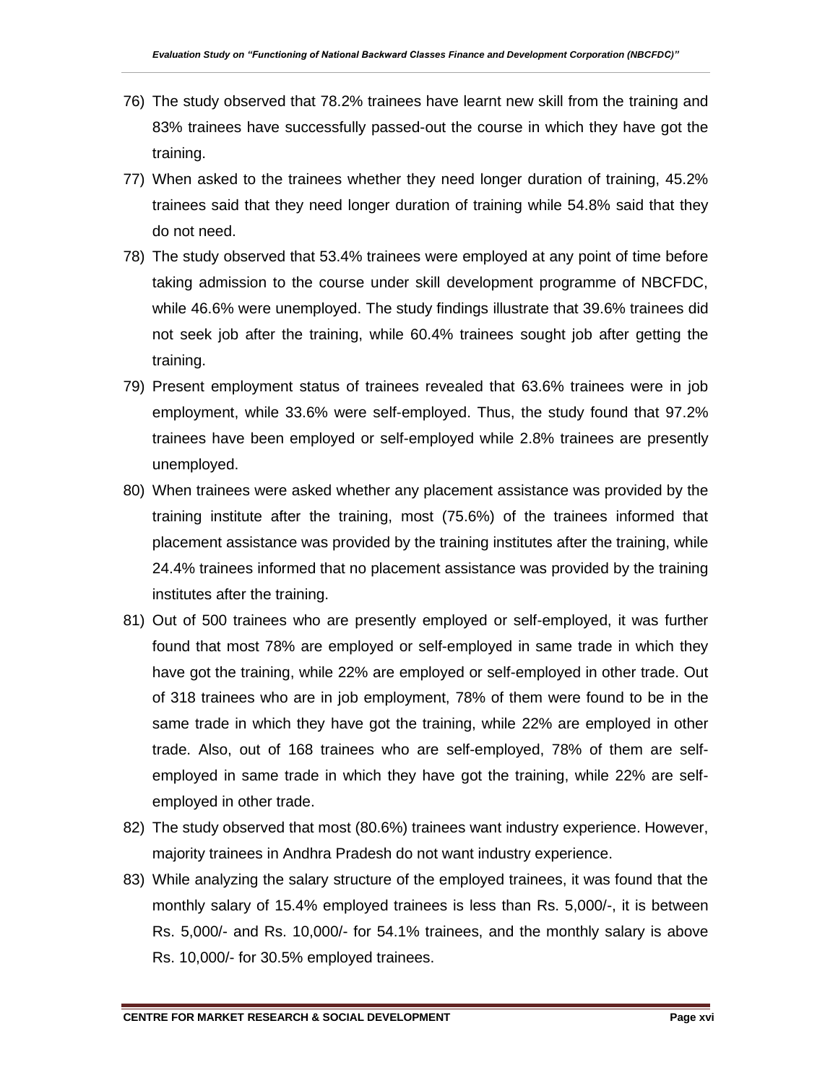- 76) The study observed that 78.2% trainees have learnt new skill from the training and 83% trainees have successfully passed-out the course in which they have got the training.
- 77) When asked to the trainees whether they need longer duration of training, 45.2% trainees said that they need longer duration of training while 54.8% said that they do not need.
- 78) The study observed that 53.4% trainees were employed at any point of time before taking admission to the course under skill development programme of NBCFDC, while 46.6% were unemployed. The study findings illustrate that 39.6% trainees did not seek job after the training, while 60.4% trainees sought job after getting the training.
- 79) Present employment status of trainees revealed that 63.6% trainees were in job employment, while 33.6% were self-employed. Thus, the study found that 97.2% trainees have been employed or self-employed while 2.8% trainees are presently unemployed.
- 80) When trainees were asked whether any placement assistance was provided by the training institute after the training, most (75.6%) of the trainees informed that placement assistance was provided by the training institutes after the training, while 24.4% trainees informed that no placement assistance was provided by the training institutes after the training.
- 81) Out of 500 trainees who are presently employed or self-employed, it was further found that most 78% are employed or self-employed in same trade in which they have got the training, while 22% are employed or self-employed in other trade. Out of 318 trainees who are in job employment, 78% of them were found to be in the same trade in which they have got the training, while 22% are employed in other trade. Also, out of 168 trainees who are self-employed, 78% of them are selfemployed in same trade in which they have got the training, while 22% are selfemployed in other trade.
- 82) The study observed that most (80.6%) trainees want industry experience. However, majority trainees in Andhra Pradesh do not want industry experience.
- 83) While analyzing the salary structure of the employed trainees, it was found that the monthly salary of 15.4% employed trainees is less than Rs. 5,000/-, it is between Rs. 5,000/- and Rs. 10,000/- for 54.1% trainees, and the monthly salary is above Rs. 10,000/- for 30.5% employed trainees.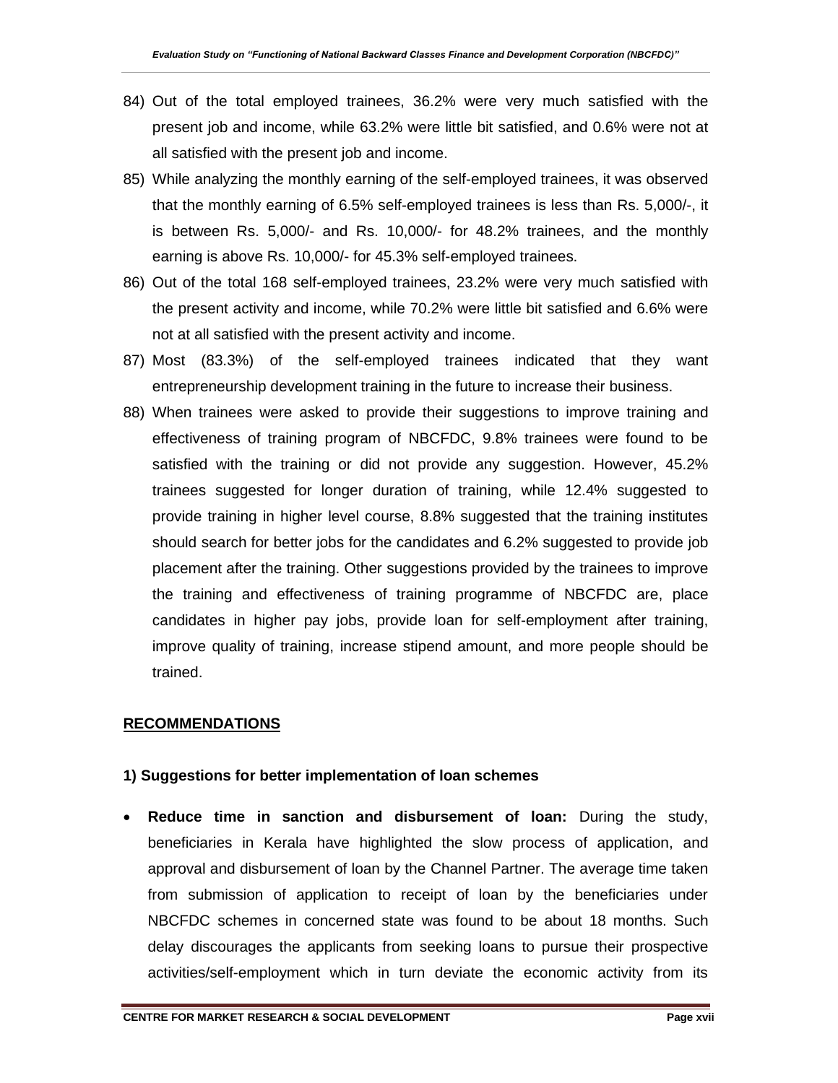- 84) Out of the total employed trainees, 36.2% were very much satisfied with the present job and income, while 63.2% were little bit satisfied, and 0.6% were not at all satisfied with the present job and income.
- 85) While analyzing the monthly earning of the self-employed trainees, it was observed that the monthly earning of 6.5% self-employed trainees is less than Rs. 5,000/-, it is between Rs. 5,000/- and Rs. 10,000/- for 48.2% trainees, and the monthly earning is above Rs. 10,000/- for 45.3% self-employed trainees.
- 86) Out of the total 168 self-employed trainees, 23.2% were very much satisfied with the present activity and income, while 70.2% were little bit satisfied and 6.6% were not at all satisfied with the present activity and income.
- 87) Most (83.3%) of the self-employed trainees indicated that they want entrepreneurship development training in the future to increase their business.
- 88) When trainees were asked to provide their suggestions to improve training and effectiveness of training program of NBCFDC, 9.8% trainees were found to be satisfied with the training or did not provide any suggestion. However, 45.2% trainees suggested for longer duration of training, while 12.4% suggested to provide training in higher level course, 8.8% suggested that the training institutes should search for better jobs for the candidates and 6.2% suggested to provide job placement after the training. Other suggestions provided by the trainees to improve the training and effectiveness of training programme of NBCFDC are, place candidates in higher pay jobs, provide loan for self-employment after training, improve quality of training, increase stipend amount, and more people should be trained.

#### **RECOMMENDATIONS**

#### **1) Suggestions for better implementation of loan schemes**

• **Reduce time in sanction and disbursement of loan:** During the study, beneficiaries in Kerala have highlighted the slow process of application, and approval and disbursement of loan by the Channel Partner. The average time taken from submission of application to receipt of loan by the beneficiaries under NBCFDC schemes in concerned state was found to be about 18 months. Such delay discourages the applicants from seeking loans to pursue their prospective activities/self-employment which in turn deviate the economic activity from its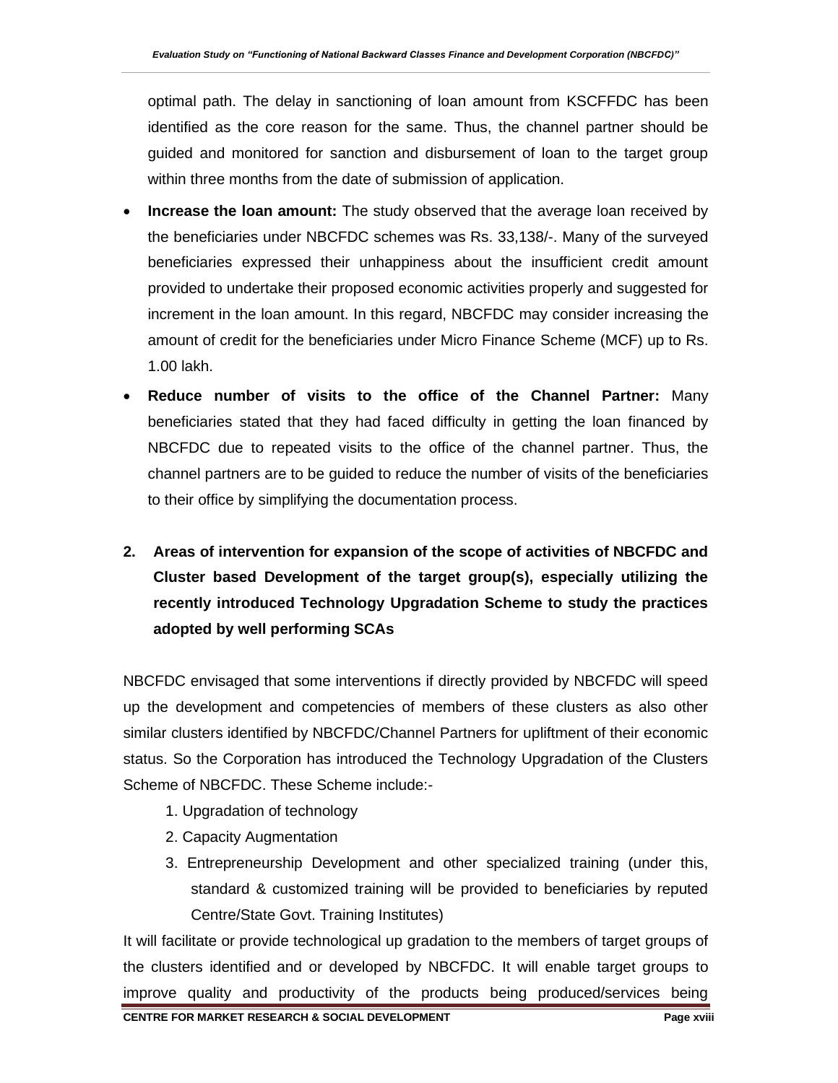optimal path. The delay in sanctioning of loan amount from KSCFFDC has been identified as the core reason for the same. Thus, the channel partner should be guided and monitored for sanction and disbursement of loan to the target group within three months from the date of submission of application.

- **Increase the loan amount:** The study observed that the average loan received by the beneficiaries under NBCFDC schemes was Rs. 33,138/-. Many of the surveyed beneficiaries expressed their unhappiness about the insufficient credit amount provided to undertake their proposed economic activities properly and suggested for increment in the loan amount. In this regard, NBCFDC may consider increasing the amount of credit for the beneficiaries under Micro Finance Scheme (MCF) up to Rs. 1.00 lakh.
- **Reduce number of visits to the office of the Channel Partner:** Many beneficiaries stated that they had faced difficulty in getting the loan financed by NBCFDC due to repeated visits to the office of the channel partner. Thus, the channel partners are to be guided to reduce the number of visits of the beneficiaries to their office by simplifying the documentation process.
- **2. Areas of intervention for expansion of the scope of activities of NBCFDC and Cluster based Development of the target group(s), especially utilizing the recently introduced Technology Upgradation Scheme to study the practices adopted by well performing SCAs**

NBCFDC envisaged that some interventions if directly provided by NBCFDC will speed up the development and competencies of members of these clusters as also other similar clusters identified by NBCFDC/Channel Partners for upliftment of their economic status. So the Corporation has introduced the Technology Upgradation of the Clusters Scheme of NBCFDC. These Scheme include:-

- 1. Upgradation of technology
- 2. Capacity Augmentation
- 3. Entrepreneurship Development and other specialized training (under this, standard & customized training will be provided to beneficiaries by reputed Centre/State Govt. Training Institutes)

It will facilitate or provide technological up gradation to the members of target groups of the clusters identified and or developed by NBCFDC. It will enable target groups to improve quality and productivity of the products being produced/services being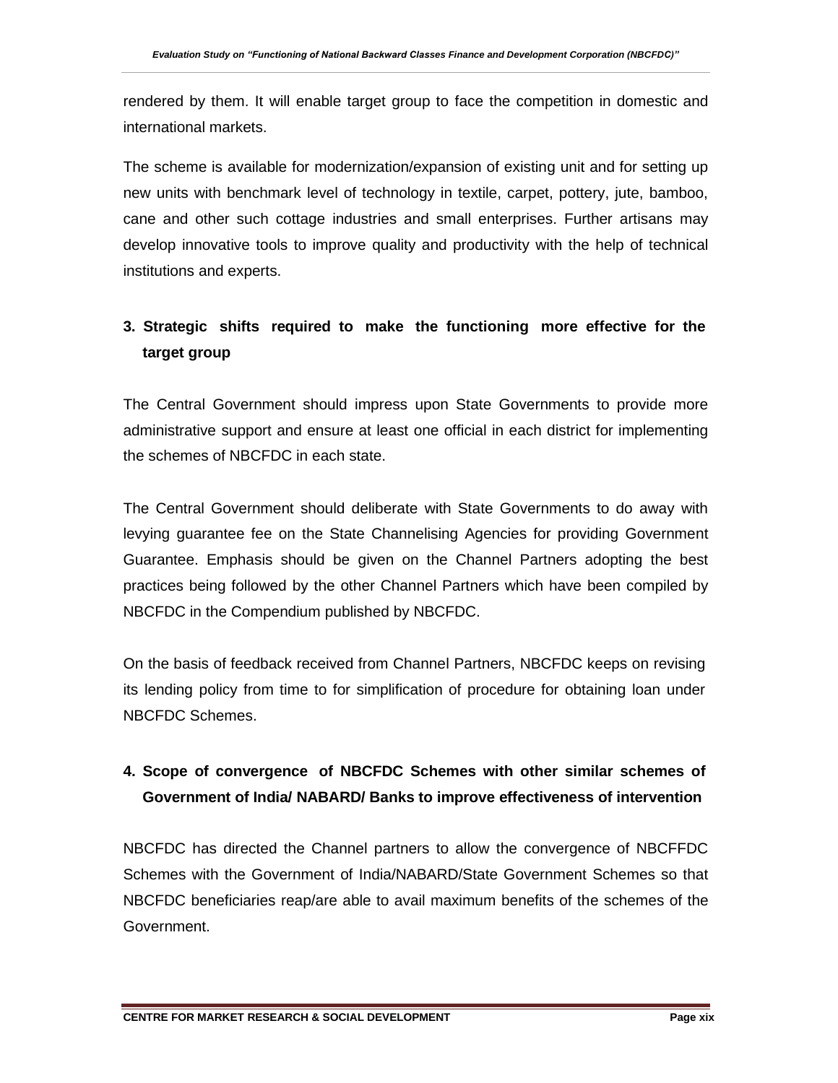rendered by them. It will enable target group to face the competition in domestic and international markets.

The scheme is available for modernization/expansion of existing unit and for setting up new units with benchmark level of technology in textile, carpet, pottery, jute, bamboo, cane and other such cottage industries and small enterprises. Further artisans may develop innovative tools to improve quality and productivity with the help of technical institutions and experts.

## **3. Strategic shifts required to make the functioning more effective for the target group**

The Central Government should impress upon State Governments to provide more administrative support and ensure at least one official in each district for implementing the schemes of NBCFDC in each state.

The Central Government should deliberate with State Governments to do away with levying guarantee fee on the State Channelising Agencies for providing Government Guarantee. Emphasis should be given on the Channel Partners adopting the best practices being followed by the other Channel Partners which have been compiled by NBCFDC in the Compendium published by NBCFDC.

On the basis of feedback received from Channel Partners, NBCFDC keeps on revising its lending policy from time to for simplification of procedure for obtaining loan under NBCFDC Schemes.

### **4. Scope of convergence of NBCFDC Schemes with other similar schemes of Government of India/ NABARD/ Banks to improve effectiveness of intervention**

NBCFDC has directed the Channel partners to allow the convergence of NBCFFDC Schemes with the Government of India/NABARD/State Government Schemes so that NBCFDC beneficiaries reap/are able to avail maximum benefits of the schemes of the Government.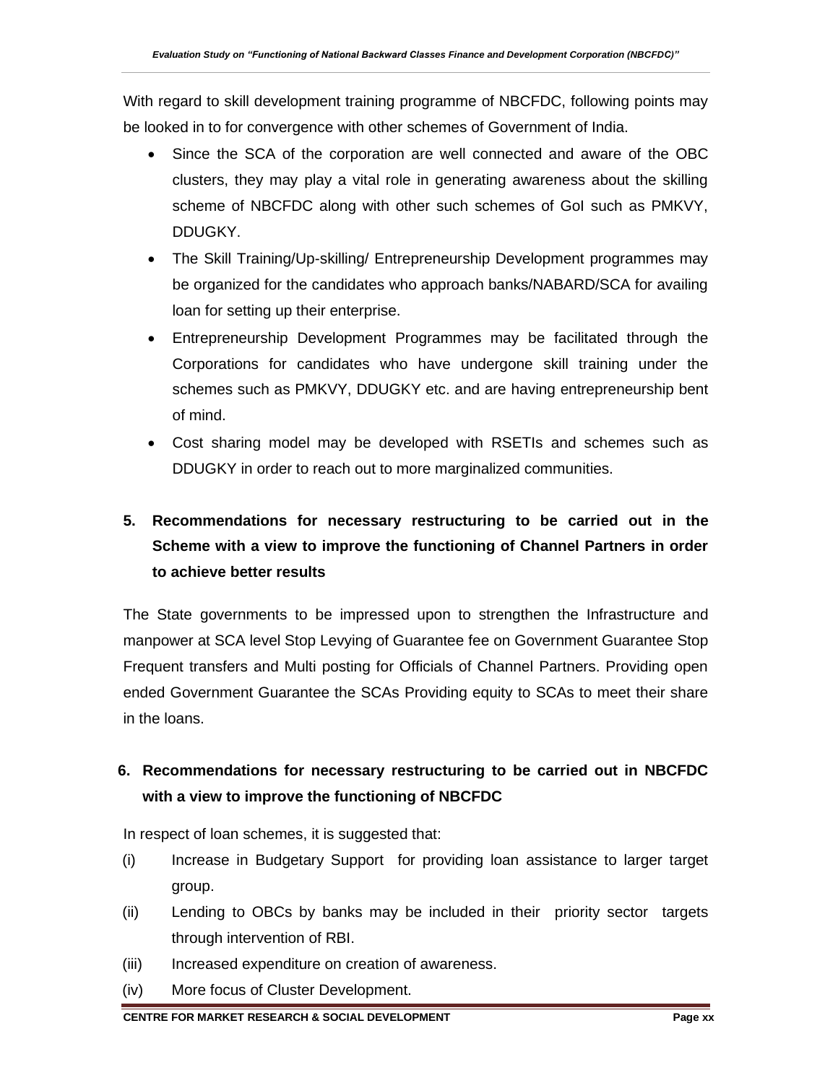With regard to skill development training programme of NBCFDC, following points may be looked in to for convergence with other schemes of Government of India.

- Since the SCA of the corporation are well connected and aware of the OBC clusters, they may play a vital role in generating awareness about the skilling scheme of NBCFDC along with other such schemes of GoI such as PMKVY, DDUGKY.
- The Skill Training/Up-skilling/ Entrepreneurship Development programmes may be organized for the candidates who approach banks/NABARD/SCA for availing loan for setting up their enterprise.
- Entrepreneurship Development Programmes may be facilitated through the Corporations for candidates who have undergone skill training under the schemes such as PMKVY, DDUGKY etc. and are having entrepreneurship bent of mind.
- Cost sharing model may be developed with RSETIs and schemes such as DDUGKY in order to reach out to more marginalized communities.

## **5. Recommendations for necessary restructuring to be carried out in the Scheme with a view to improve the functioning of Channel Partners in order to achieve better results**

The State governments to be impressed upon to strengthen the Infrastructure and manpower at SCA level Stop Levying of Guarantee fee on Government Guarantee Stop Frequent transfers and Multi posting for Officials of Channel Partners. Providing open ended Government Guarantee the SCAs Providing equity to SCAs to meet their share in the loans.

## **6. Recommendations for necessary restructuring to be carried out in NBCFDC with a view to improve the functioning of NBCFDC**

In respect of loan schemes, it is suggested that:

- (i) Increase in Budgetary Support for providing loan assistance to larger target group.
- (ii) Lending to OBCs by banks may be included in their priority sector targets through intervention of RBI.
- (iii) Increased expenditure on creation of awareness.
- (iv) More focus of Cluster Development.